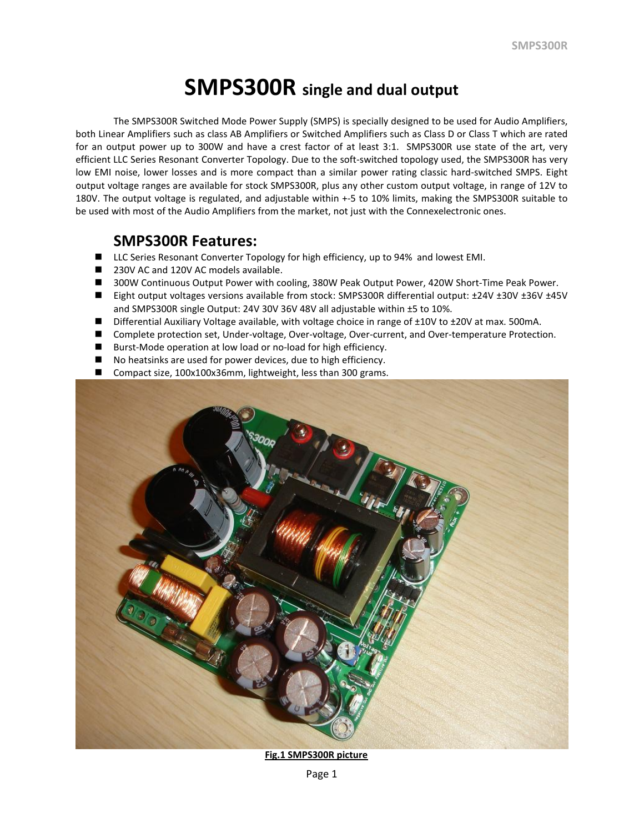# **SMPS300R single and dual output**

The SMPS300R Switched Mode Power Supply (SMPS) is specially designed to be used for Audio Amplifiers, both Linear Amplifiers such as class AB Amplifiers or Switched Amplifiers such as Class D or Class T which are rated for an output power up to 300W and have a crest factor of at least 3:1. SMPS300R use state of the art, very efficient LLC Series Resonant Converter Topology. Due to the soft-switched topology used, the SMPS300R has very low EMI noise, lower losses and is more compact than a similar power rating classic hard-switched SMPS. Eight output voltage ranges are available for stock SMPS300R, plus any other custom output voltage, in range of 12V to 180V. The output voltage is regulated, and adjustable within +-5 to 10% limits, making the SMPS300R suitable to be used with most of the Audio Amplifiers from the market, not just with the Connexelectronic ones.

## **SMPS300R Features:**

- LLC Series Resonant Converter Topology for high efficiency, up to 94% and lowest EMI.
- 230V AC and 120V AC models available.
- 300W Continuous Output Power with cooling, 380W Peak Output Power, 420W Short-Time Peak Power.
- Eight output voltages versions available from stock: SMPS300R differential output: ±24V ±30V ±36V ±45V and SMPS300R single Output: 24V 30V 36V 48V all adjustable within ±5 to 10%.
- Differential Auxiliary Voltage available, with voltage choice in range of ±10V to ±20V at max. 500mA.
- Complete protection set, Under-voltage, Over-voltage, Over-current, and Over-temperature Protection.
- Burst-Mode operation at low load or no-load for high efficiency.
- No heatsinks are used for power devices, due to high efficiency.
- Compact size, 100x100x36mm, lightweight, less than 300 grams.



**Fig.1 SMPS300R picture**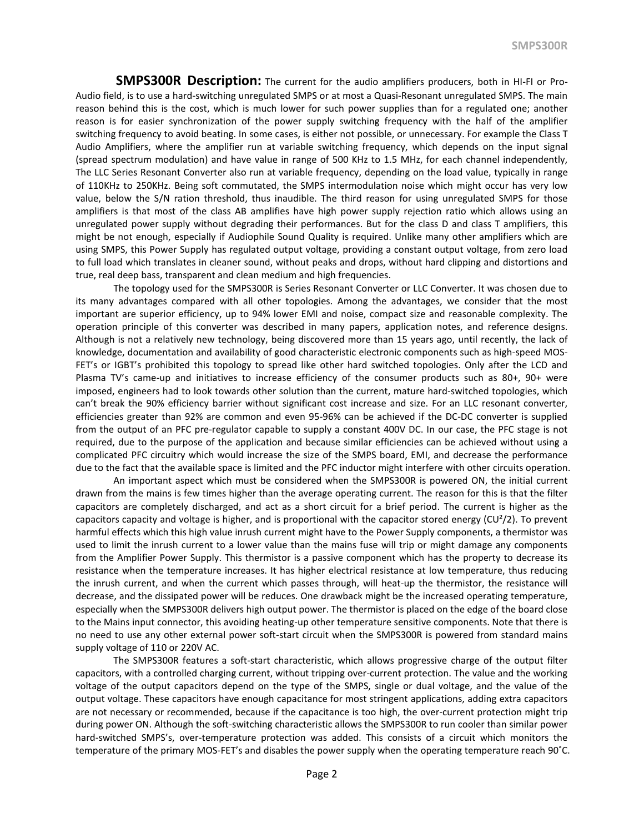**SMPS300R Description:** The current for the audio amplifiers producers, both in HI-FI or Pro-Audio field, is to use a hard-switching unregulated SMPS or at most a Quasi-Resonant unregulated SMPS. The main reason behind this is the cost, which is much lower for such power supplies than for a regulated one; another reason is for easier synchronization of the power supply switching frequency with the half of the amplifier switching frequency to avoid beating. In some cases, is either not possible, or unnecessary. For example the Class T Audio Amplifiers, where the amplifier run at variable switching frequency, which depends on the input signal (spread spectrum modulation) and have value in range of 500 KHz to 1.5 MHz, for each channel independently, The LLC Series Resonant Converter also run at variable frequency, depending on the load value, typically in range of 110KHz to 250KHz. Being soft commutated, the SMPS intermodulation noise which might occur has very low value, below the S/N ration threshold, thus inaudible. The third reason for using unregulated SMPS for those amplifiers is that most of the class AB amplifies have high power supply rejection ratio which allows using an unregulated power supply without degrading their performances. But for the class D and class T amplifiers, this might be not enough, especially if Audiophile Sound Quality is required. Unlike many other amplifiers which are using SMPS, this Power Supply has regulated output voltage, providing a constant output voltage, from zero load to full load which translates in cleaner sound, without peaks and drops, without hard clipping and distortions and true, real deep bass, transparent and clean medium and high frequencies.

The topology used for the SMPS300R is Series Resonant Converter or LLC Converter. It was chosen due to its many advantages compared with all other topologies. Among the advantages, we consider that the most important are superior efficiency, up to 94% lower EMI and noise, compact size and reasonable complexity. The operation principle of this converter was described in many papers, application notes, and reference designs. Although is not a relatively new technology, being discovered more than 15 years ago, until recently, the lack of knowledge, documentation and availability of good characteristic electronic components such as high-speed MOS-FET's or IGBT's prohibited this topology to spread like other hard switched topologies. Only after the LCD and Plasma TV's came-up and initiatives to increase efficiency of the consumer products such as 80+, 90+ were imposed, engineers had to look towards other solution than the current, mature hard-switched topologies, which can't break the 90% efficiency barrier without significant cost increase and size. For an LLC resonant converter, efficiencies greater than 92% are common and even 95-96% can be achieved if the DC-DC converter is supplied from the output of an PFC pre-regulator capable to supply a constant 400V DC. In our case, the PFC stage is not required, due to the purpose of the application and because similar efficiencies can be achieved without using a complicated PFC circuitry which would increase the size of the SMPS board, EMI, and decrease the performance due to the fact that the available space is limited and the PFC inductor might interfere with other circuits operation.

An important aspect which must be considered when the SMPS300R is powered ON, the initial current drawn from the mains is few times higher than the average operating current. The reason for this is that the filter capacitors are completely discharged, and act as a short circuit for a brief period. The current is higher as the capacitors capacity and voltage is higher, and is proportional with the capacitor stored energy  $(CU^2/2)$ . To prevent harmful effects which this high value inrush current might have to the Power Supply components, a thermistor was used to limit the inrush current to a lower value than the mains fuse will trip or might damage any components from the Amplifier Power Supply. This thermistor is a passive component which has the property to decrease its resistance when the temperature increases. It has higher electrical resistance at low temperature, thus reducing the inrush current, and when the current which passes through, will heat-up the thermistor, the resistance will decrease, and the dissipated power will be reduces. One drawback might be the increased operating temperature, especially when the SMPS300R delivers high output power. The thermistor is placed on the edge of the board close to the Mains input connector, this avoiding heating-up other temperature sensitive components. Note that there is no need to use any other external power soft-start circuit when the SMPS300R is powered from standard mains supply voltage of 110 or 220V AC.

The SMPS300R features a soft-start characteristic, which allows progressive charge of the output filter capacitors, with a controlled charging current, without tripping over-current protection. The value and the working voltage of the output capacitors depend on the type of the SMPS, single or dual voltage, and the value of the output voltage. These capacitors have enough capacitance for most stringent applications, adding extra capacitors are not necessary or recommended, because if the capacitance is too high, the over-current protection might trip during power ON. Although the soft-switching characteristic allows the SMPS300R to run cooler than similar power hard-switched SMPS's, over-temperature protection was added. This consists of a circuit which monitors the temperature of the primary MOS-FET's and disables the power supply when the operating temperature reach 90˚C.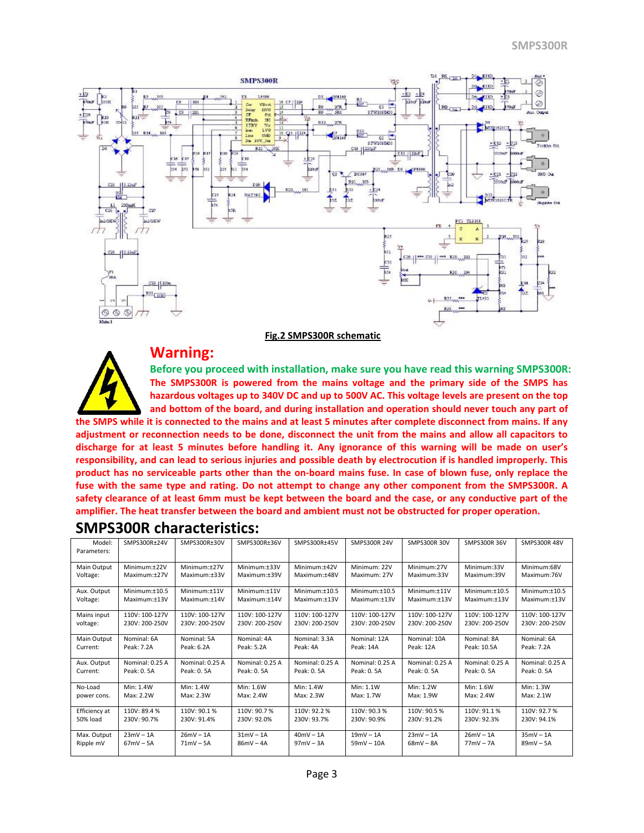

#### **Fig.2 SMPS300R schematic**



## **Warning:**

**Before you proceed with installation, make sure you have read this warning SMPS300R: The SMPS300R is powered from the mains voltage and the primary side of the SMPS has hazardous voltages up to 340V DC and up to 500V AC. This voltage levels are present on the top and bottom of the board, and during installation and operation should never touch any part of the SMPS while it is connected to the mains and at least 5 minutes after complete disconnect from mains. If any adjustment or reconnection needs to be done, disconnect the unit from the mains and allow all capacitors to discharge for at least 5 minutes before handling it. Any ignorance of this warning will be made on user's responsibility, and can lead to serious injuries and possible death by electrocution if is handled improperly. This product has no serviceable parts other than the on-board mains fuse. In case of blown fuse, only replace the fuse with the same type and rating. Do not attempt to change any other component from the SMPS300R. A safety clearance of at least 6mm must be kept between the board and the case, or any conductive part of the amplifier. The heat transfer between the board and ambient must not be obstructed for proper operation.** 

| Model:<br>Parameters: | SMPS300R±24V    | SMPS300R±30V    | SMPS300R±36V    | SMPS300R±45V     | <b>SMPS300R 24V</b> | <b>SMPS300R 30V</b> | <b>SMPS300R 36V</b> | <b>SMPS300R 48V</b> |
|-----------------------|-----------------|-----------------|-----------------|------------------|---------------------|---------------------|---------------------|---------------------|
|                       |                 |                 |                 |                  |                     |                     |                     |                     |
| Main Output           | Minimum:+22V    | Minimum:+27V    | Minimum:+33V    | Minimum:+42V     | Minimum: 22V        | Minimum:27V         | Minimum:33V         | Minimum:68V         |
| Voltage:              | Maximum:±27V    | Maximum:±33V    | Maximum:±39V    | Maximum:±48V     | Maximum: 27V        | Maximum:33V         | Maximum:39V         | Maximum:76V         |
| Aux. Output           | Minimum:±10.5   | Minimum:+11V    | Minimum:+11V    | $Minimum: +10.5$ | Minimum:±10.5       | Minimum:+11V        | Minimum:±10.5       | Minimum: $±10.5$    |
| Voltage:              | Maximum:±13V    | Maximum:±14V    | Maximum:+14V    | Maximum:±13V     | Maximum:±13V        | Maximum:±13V        | Maximum:±13V        | Maximum:±13V        |
| Mains input           | 110V: 100-127V  | 110V: 100-127V  | 110V: 100-127V  | 110V: 100-127V   | 110V: 100-127V      | 110V: 100-127V      | 110V: 100-127V      | 110V: 100-127V      |
| voltage:              | 230V: 200-250V  | 230V: 200-250V  | 230V: 200-250V  | 230V: 200-250V   | 230V: 200-250V      | 230V: 200-250V      | 230V: 200-250V      | 230V: 200-250V      |
| Main Output           | Nominal: 6A     | Nominal: 5A     | Nominal: 4A     | Nominal: 3.3A    | Nominal: 12A        | Nominal: 10A        | Nominal: 8A         | Nominal: 6A         |
| Current:              | Peak: 7.2A      | Peak: 6.2A      | Peak: 5.2A      | Peak: 4A         | Peak: 14A           | Peak: 12A           | Peak: 10.5A         | Peak: 7.2A          |
| Aux. Output           | Nominal: 0.25 A | Nominal: 0.25 A | Nominal: 0.25 A | Nominal: 0.25 A  | Nominal: 0.25 A     | Nominal: 0.25 A     | Nominal: 0.25 A     | Nominal: 0.25 A     |
| Current:              | Peak: 0.5A      | Peak: 0.5A      | Peak: 0.5A      | Peak: 0.5A       | Peak: 0.5A          | Peak: 0.5A          | Peak: 0.5A          | Peak: 0.5A          |
| No-Load               | Min: 1.4W       | Min: 1.4W       | Min: 1.6W       | Min: 1.4W        | Min: 1.1W           | Min: 1.2W           | Min: 1.6W           | Min: 1.3W           |
| power cons.           | Max: 2.2W       | Max: 2.3W       | Max: 2.4W       | Max: 2.3W        | Max: 1.7W           | Max: 1.9W           | Max: 2.4W           | Max: 2.1W           |
| Efficiency at         | 110V: 89.4 %    | 110V: 90.1%     | 110V: 90.7%     | 110V: 92.2%      | 110V: 90.3%         | 110V: 90.5%         | 110V: 91.1 %        | 110V: 92.7%         |
| 50% load              | 230V: 90.7%     | 230V: 91.4%     | 230V: 92.0%     | 230V: 93.7%      | 230V: 90.9%         | 230V: 91.2%         | 230V: 92.3%         | 230V: 94.1%         |
| Max. Output           | $23mV - 1A$     | $26mV - 1A$     | $31mV - 1A$     | $40mV - 1A$      | $19mV - 1A$         | $23mV - 1A$         | $26mV - 1A$         | $35mV - 1A$         |
| Ripple mV             | $67mV - 5A$     | $71mV - 5A$     | $86mV - 4A$     | $97mV - 3A$      | $59mV - 10A$        | $68mV - 8A$         | $77mV - 7A$         | $89mV - 5A$         |
|                       |                 |                 |                 |                  |                     |                     |                     |                     |

### **SMPS300R characteristics:**